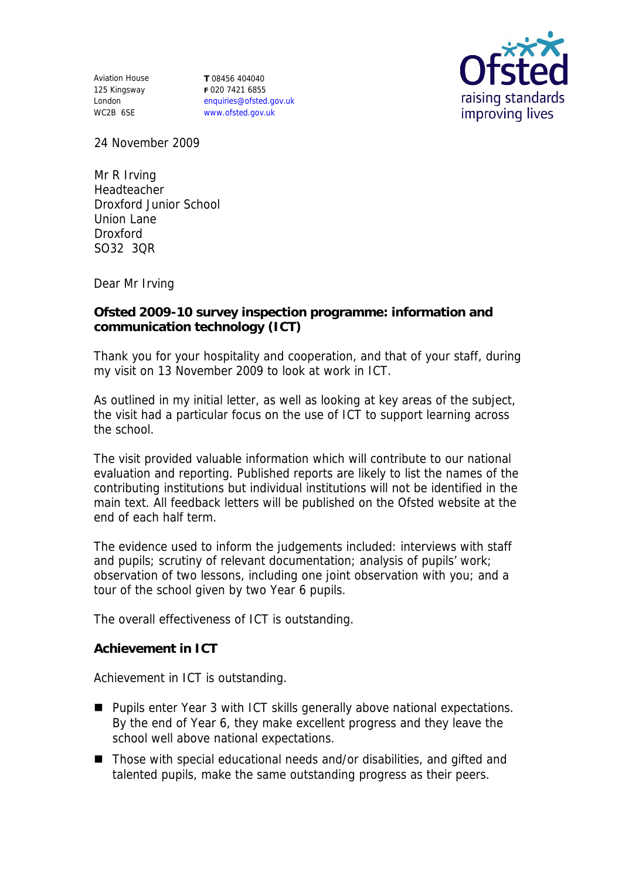Aviation House 125 Kingsway London WC2B 6SE

**T** 08456 404040 **F** 020 7421 6855 enquiries@ofsted.gov.uk www.ofsted.gov.uk



24 November 2009

Mr R Irving Headteacher Droxford Junior School Union Lane Droxford SO32 3QR

Dear Mr Irving

**Ofsted 2009-10 survey inspection programme: information and communication technology (ICT)**

Thank you for your hospitality and cooperation, and that of your staff, during my visit on 13 November 2009 to look at work in ICT.

As outlined in my initial letter, as well as looking at key areas of the subject, the visit had a particular focus on the use of ICT to support learning across the school.

The visit provided valuable information which will contribute to our national evaluation and reporting. Published reports are likely to list the names of the contributing institutions but individual institutions will not be identified in the main text. All feedback letters will be published on the Ofsted website at the end of each half term.

The evidence used to inform the judgements included: interviews with staff and pupils; scrutiny of relevant documentation; analysis of pupils' work; observation of two lessons, including one joint observation with you; and a tour of the school given by two Year 6 pupils.

The overall effectiveness of ICT is outstanding.

**Achievement in ICT**

Achievement in ICT is outstanding.

- Pupils enter Year 3 with ICT skills generally above national expectations. By the end of Year 6, they make excellent progress and they leave the school well above national expectations.
- Those with special educational needs and/or disabilities, and gifted and talented pupils, make the same outstanding progress as their peers.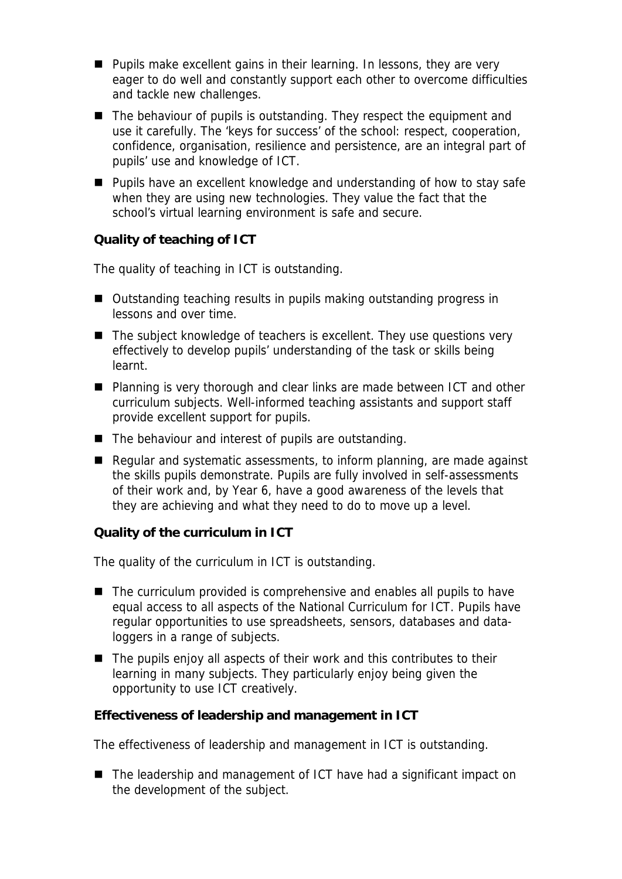- **Pupils make excellent gains in their learning. In lessons, they are very** eager to do well and constantly support each other to overcome difficulties and tackle new challenges.
- The behaviour of pupils is outstanding. They respect the equipment and use it carefully. The 'keys for success' of the school: respect, cooperation, confidence, organisation, resilience and persistence, are an integral part of pupils' use and knowledge of ICT.
- **Pupils have an excellent knowledge and understanding of how to stay safe** when they are using new technologies. They value the fact that the school's virtual learning environment is safe and secure.

**Quality of teaching of ICT**

The quality of teaching in ICT is outstanding.

- Outstanding teaching results in pupils making outstanding progress in lessons and over time.
- $\blacksquare$  The subject knowledge of teachers is excellent. They use questions very effectively to develop pupils' understanding of the task or skills being learnt.
- Planning is very thorough and clear links are made between ICT and other curriculum subjects. Well-informed teaching assistants and support staff provide excellent support for pupils.
- $\blacksquare$  The behaviour and interest of pupils are outstanding.
- Regular and systematic assessments, to inform planning, are made against the skills pupils demonstrate. Pupils are fully involved in self-assessments of their work and, by Year 6, have a good awareness of the levels that they are achieving and what they need to do to move up a level.

**Quality of the curriculum in ICT**

The quality of the curriculum in ICT is outstanding.

- The curriculum provided is comprehensive and enables all pupils to have equal access to all aspects of the National Curriculum for ICT. Pupils have regular opportunities to use spreadsheets, sensors, databases and dataloggers in a range of subjects.
- The pupils enjoy all aspects of their work and this contributes to their learning in many subjects. They particularly enjoy being given the opportunity to use ICT creatively.

**Effectiveness of leadership and management in ICT**

The effectiveness of leadership and management in ICT is outstanding.

■ The leadership and management of ICT have had a significant impact on the development of the subject.